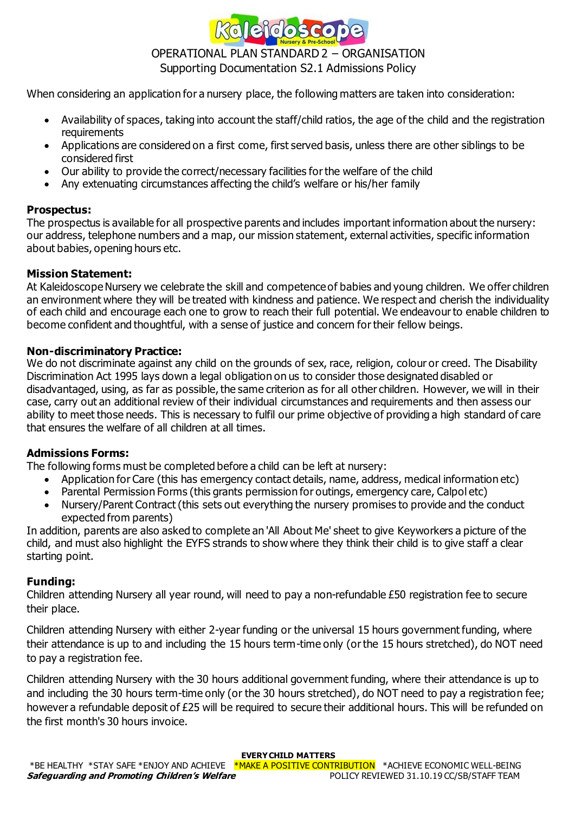

# OPERATIONAL PLAN STANDARD 2 – ORGANISATION Supporting Documentation S2.1 Admissions Policy

When considering an application for a nursery place, the following matters are taken into consideration:

- Availability of spaces, taking into account the staff/child ratios, the age of the child and the registration requirements
- Applications are considered on a first come, first served basis, unless there are other siblings to be considered first
- Our ability to provide the correct/necessary facilities for the welfare of the child
- Any extenuating circumstances affecting the child's welfare or his/her family

# **Prospectus:**

The prospectus is available for all prospective parents and includes important information about the nursery: our address, telephone numbers and a map, our mission statement, external activities, specific information about babies, opening hours etc.

## **Mission Statement:**

At Kaleidoscope Nursery we celebrate the skill and competence of babies and young children. We offer children an environment where they will be treated with kindness and patience. We respect and cherish the individuality of each child and encourage each one to grow to reach their full potential. We endeavour to enable children to become confident and thoughtful, with a sense of justice and concern for their fellow beings.

## **Non-discriminatory Practice:**

We do not discriminate against any child on the grounds of sex, race, religion, colour or creed. The Disability Discrimination Act 1995 lays down a legal obligation on us to consider those designated disabled or disadvantaged, using, as far as possible, the same criterion as for all other children. However, we will in their case, carry out an additional review of their individual circumstances and requirements and then assess our ability to meet those needs. This is necessary to fulfil our prime objective of providing a high standard of care that ensures the welfare of all children at all times.

# **Admissions Forms:**

The following forms must be completed before a child can be left at nursery:

- Application for Care (this has emergency contact details, name, address, medical information etc)
- Parental Permission Forms (this grants permission for outings, emergency care, Calpol etc)
- Nursery/Parent Contract (this sets out everything the nursery promises to provide and the conduct expected from parents)

In addition, parents are also asked to complete an 'All About Me' sheet to give Keyworkers a picture of the child, and must also highlight the EYFS strands to show where they think their child is to give staff a clear starting point.

# **Funding:**

Children attending Nursery all year round, will need to pay a non-refundable £50 registration fee to secure their place.

Children attending Nursery with either 2-year funding or the universal 15 hours government funding, where their attendance is up to and including the 15 hours term-time only (or the 15 hours stretched), do NOT need to pay a registration fee.

Children attending Nursery with the 30 hours additional government funding, where their attendance is up to and including the 30 hours term-time only (or the 30 hours stretched), do NOT need to pay a registration fee; however a refundable deposit of £25 will be required to secure their additional hours. This will be refunded on the first month's 30 hours invoice.

#### **EVERY CHILD MATTERS**